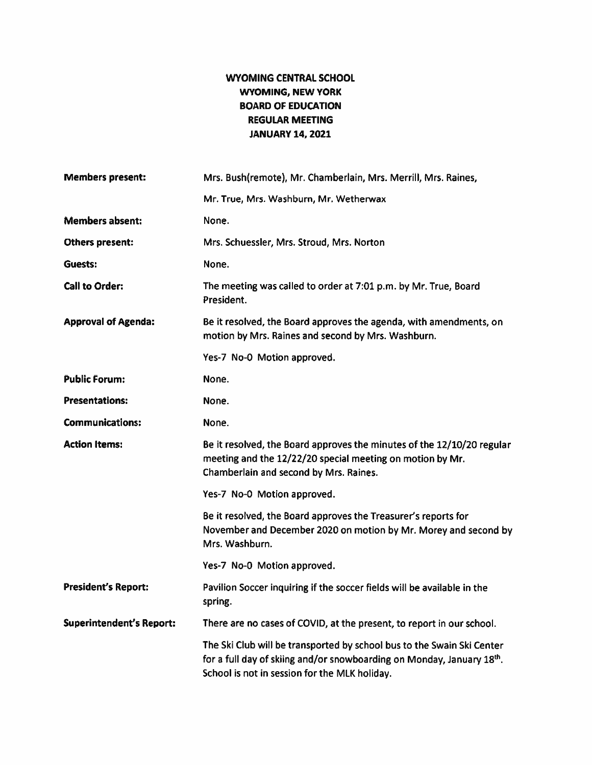## WYOMING CENTRAL SCHOOL WYOMING, NEW YORK BOARD OF EDUCATION REGULAR MEETING JANUARY 14, 2021

| <b>Members present:</b>         | Mrs. Bush(remote), Mr. Chamberlain, Mrs. Merrill, Mrs. Raines,                                                                                                                                   |  |  |
|---------------------------------|--------------------------------------------------------------------------------------------------------------------------------------------------------------------------------------------------|--|--|
|                                 | Mr. True, Mrs. Washburn, Mr. Wetherwax                                                                                                                                                           |  |  |
| <b>Members absent:</b>          | None.                                                                                                                                                                                            |  |  |
| <b>Others present:</b>          | Mrs. Schuessler, Mrs. Stroud, Mrs. Norton                                                                                                                                                        |  |  |
| Guests:                         | None.                                                                                                                                                                                            |  |  |
| <b>Call to Order:</b>           | The meeting was called to order at 7:01 p.m. by Mr. True, Board<br>President.                                                                                                                    |  |  |
| <b>Approval of Agenda:</b>      | Be it resolved, the Board approves the agenda, with amendments, on<br>motion by Mrs. Raines and second by Mrs. Washburn.                                                                         |  |  |
|                                 | Yes-7 No-0 Motion approved.                                                                                                                                                                      |  |  |
| <b>Public Forum:</b>            | None.                                                                                                                                                                                            |  |  |
| <b>Presentations:</b>           | None.                                                                                                                                                                                            |  |  |
| <b>Communications:</b>          | None.                                                                                                                                                                                            |  |  |
| <b>Action Items:</b>            | Be it resolved, the Board approves the minutes of the 12/10/20 regular<br>meeting and the 12/22/20 special meeting on motion by Mr.<br>Chamberlain and second by Mrs. Raines.                    |  |  |
|                                 | Yes-7 No-0 Motion approved.                                                                                                                                                                      |  |  |
|                                 | Be it resolved, the Board approves the Treasurer's reports for<br>November and December 2020 on motion by Mr. Morey and second by<br>Mrs. Washburn.                                              |  |  |
|                                 | Yes-7 No-0 Motion approved.                                                                                                                                                                      |  |  |
| <b>President's Report:</b>      | Pavilion Soccer inquiring if the soccer fields will be available in the<br>spring.                                                                                                               |  |  |
| <b>Superintendent's Report:</b> | There are no cases of COVID, at the present, to report in our school.                                                                                                                            |  |  |
|                                 | The Ski Club will be transported by school bus to the Swain Ski Center<br>for a full day of skiing and/or snowboarding on Monday, January 18th.<br>School is not in session for the MLK holiday. |  |  |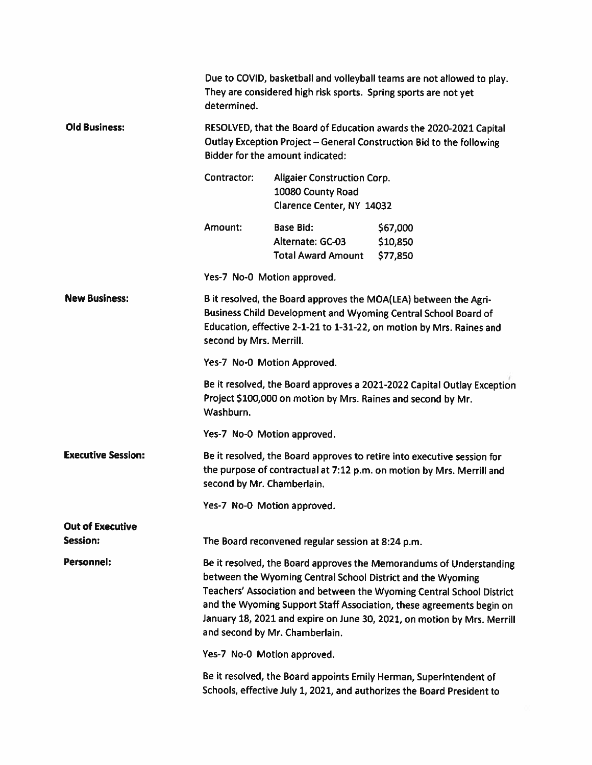|                           | Due to COVID, basketball and volleyball teams are not allowed to play.<br>They are considered high risk sports. Spring sports are not yet<br>determined.                                                                                                                                                                                                                                         |                                                                                      |                                  |  |
|---------------------------|--------------------------------------------------------------------------------------------------------------------------------------------------------------------------------------------------------------------------------------------------------------------------------------------------------------------------------------------------------------------------------------------------|--------------------------------------------------------------------------------------|----------------------------------|--|
| <b>Old Business:</b>      | RESOLVED, that the Board of Education awards the 2020-2021 Capital<br>Outlay Exception Project - General Construction Bid to the following<br>Bidder for the amount indicated:                                                                                                                                                                                                                   |                                                                                      |                                  |  |
|                           | Contractor:                                                                                                                                                                                                                                                                                                                                                                                      | <b>Allgaier Construction Corp.</b><br>10080 County Road<br>Clarence Center, NY 14032 |                                  |  |
|                           | Amount:                                                                                                                                                                                                                                                                                                                                                                                          | <b>Base Bid:</b><br>Alternate: GC-03<br><b>Total Award Amount</b>                    | \$67,000<br>\$10,850<br>\$77,850 |  |
|                           | Yes-7 No-0 Motion approved.                                                                                                                                                                                                                                                                                                                                                                      |                                                                                      |                                  |  |
| <b>New Business:</b>      | B it resolved, the Board approves the MOA(LEA) between the Agri-<br>Business Child Development and Wyoming Central School Board of<br>Education, effective 2-1-21 to 1-31-22, on motion by Mrs. Raines and<br>second by Mrs. Merrill.                                                                                                                                                            |                                                                                      |                                  |  |
|                           | Yes-7 No-0 Motion Approved.                                                                                                                                                                                                                                                                                                                                                                      |                                                                                      |                                  |  |
|                           | Be it resolved, the Board approves a 2021-2022 Capital Outlay Exception<br>Project \$100,000 on motion by Mrs. Raines and second by Mr.<br>Washburn.                                                                                                                                                                                                                                             |                                                                                      |                                  |  |
|                           | Yes-7 No-0 Motion approved.                                                                                                                                                                                                                                                                                                                                                                      |                                                                                      |                                  |  |
| <b>Executive Session:</b> | Be it resolved, the Board approves to retire into executive session for<br>the purpose of contractual at 7:12 p.m. on motion by Mrs. Merrill and<br>second by Mr. Chamberlain.                                                                                                                                                                                                                   |                                                                                      |                                  |  |
|                           | Yes-7 No-0 Motion approved.                                                                                                                                                                                                                                                                                                                                                                      |                                                                                      |                                  |  |
| <b>Out of Executive</b>   |                                                                                                                                                                                                                                                                                                                                                                                                  |                                                                                      |                                  |  |
| Session:                  | The Board reconvened regular session at 8:24 p.m.                                                                                                                                                                                                                                                                                                                                                |                                                                                      |                                  |  |
| Personnel:                | Be it resolved, the Board approves the Memorandums of Understanding<br>between the Wyoming Central School District and the Wyoming<br>Teachers' Association and between the Wyoming Central School District<br>and the Wyoming Support Staff Association, these agreements begin on<br>January 18, 2021 and expire on June 30, 2021, on motion by Mrs. Merrill<br>and second by Mr. Chamberlain. |                                                                                      |                                  |  |
|                           | Yes-7 No-0 Motion approved.                                                                                                                                                                                                                                                                                                                                                                      |                                                                                      |                                  |  |
|                           | Be it resolved, the Board appoints Emily Herman, Superintendent of<br>Schools, effective July 1, 2021, and authorizes the Board President to                                                                                                                                                                                                                                                     |                                                                                      |                                  |  |